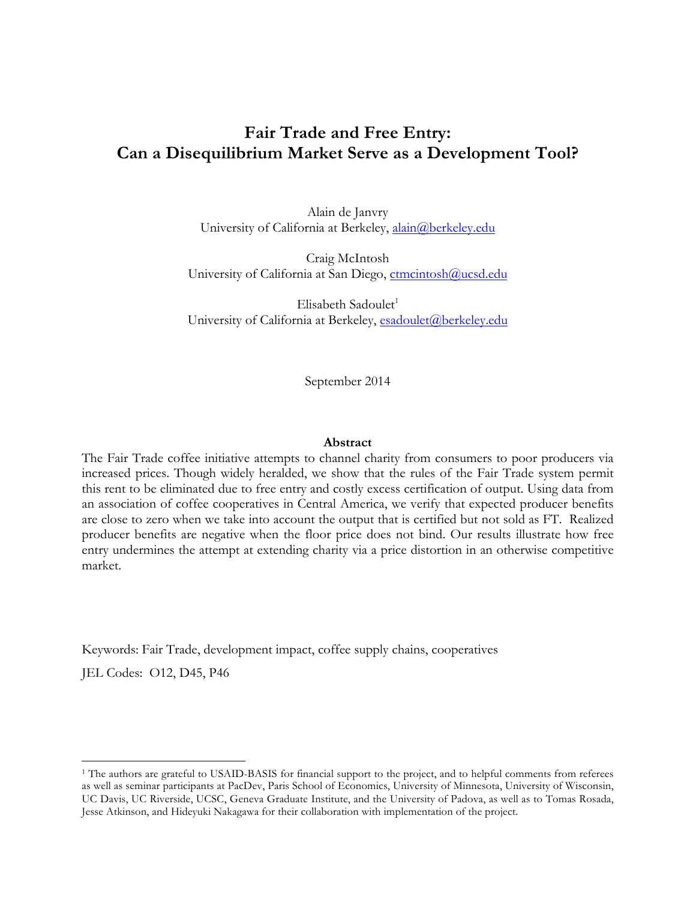# **Fair Trade and Free Entry: Can a Disequilibrium Market Serve as a Development Tool?**

Alain de Janvry University of California at Berkeley, alain@berkeley.edu

Craig McIntosh University of California at San Diego, ctmcintosh@ucsd.edu

 $E$ lisabeth Sadoulet<sup>1</sup> University of California at Berkeley, esadoulet@berkeley.edu

September 2014

#### **Abstract**

The Fair Trade coffee initiative attempts to channel charity from consumers to poor producers via increased prices. Though widely heralded, we show that the rules of the Fair Trade system permit this rent to be eliminated due to free entry and costly excess certification of output. Using data from an association of coffee cooperatives in Central America, we verify that expected producer benefits are close to zero when we take into account the output that is certified but not sold as FT. Realized producer benefits are negative when the floor price does not bind. Our results illustrate how free entry undermines the attempt at extending charity via a price distortion in an otherwise competitive market.

Keywords: Fair Trade, development impact, coffee supply chains, cooperatives

JEL Codes: O12, D45, P46

<sup>&</sup>lt;sup>1</sup> The authors are grateful to USAID-BASIS for financial support to the project, and to helpful comments from referees as well as seminar participants at PacDev, Paris School of Economics, University of Minnesota, University of Wisconsin, UC Davis, UC Riverside, UCSC, Geneva Graduate Institute, and the University of Padova, as well as to Tomas Rosada, Jesse Atkinson, and Hideyuki Nakagawa for their collaboration with implementation of the project.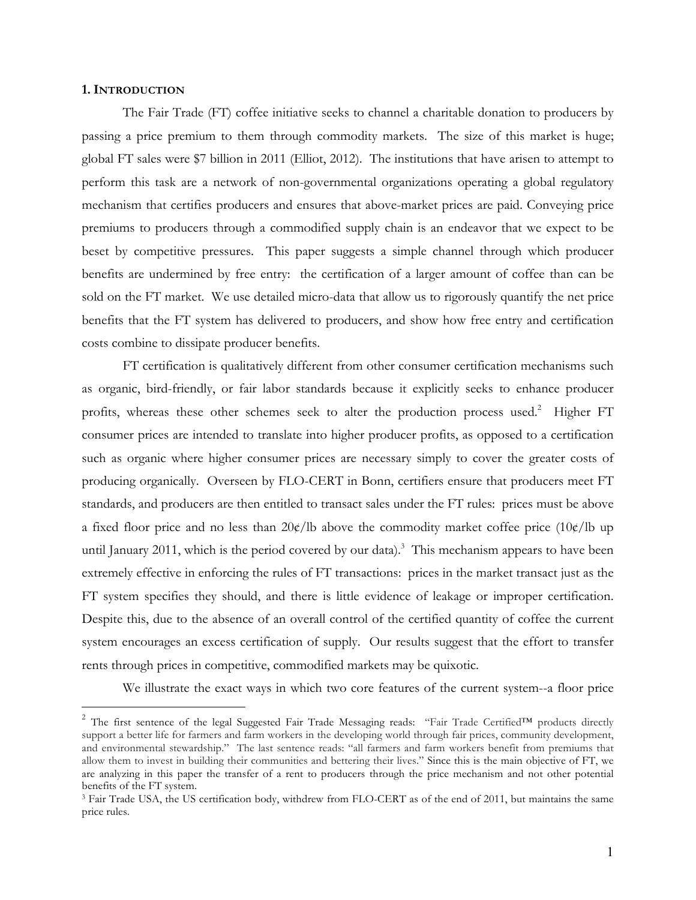#### **1. INTRODUCTION**

 $\overline{a}$ 

The Fair Trade (FT) coffee initiative seeks to channel a charitable donation to producers by passing a price premium to them through commodity markets. The size of this market is huge; global FT sales were \$7 billion in 2011 (Elliot, 2012). The institutions that have arisen to attempt to perform this task are a network of non-governmental organizations operating a global regulatory mechanism that certifies producers and ensures that above-market prices are paid. Conveying price premiums to producers through a commodified supply chain is an endeavor that we expect to be beset by competitive pressures. This paper suggests a simple channel through which producer benefits are undermined by free entry: the certification of a larger amount of coffee than can be sold on the FT market. We use detailed micro-data that allow us to rigorously quantify the net price benefits that the FT system has delivered to producers, and show how free entry and certification costs combine to dissipate producer benefits.

FT certification is qualitatively different from other consumer certification mechanisms such as organic, bird-friendly, or fair labor standards because it explicitly seeks to enhance producer profits, whereas these other schemes seek to alter the production process used.<sup>2</sup> Higher FT consumer prices are intended to translate into higher producer profits, as opposed to a certification such as organic where higher consumer prices are necessary simply to cover the greater costs of producing organically. Overseen by FLO-CERT in Bonn, certifiers ensure that producers meet FT standards, and producers are then entitled to transact sales under the FT rules: prices must be above a fixed floor price and no less than  $20 \frac{\epsilon}{lb}$  above the commodity market coffee price  $(10 \frac{\epsilon}{lb}$  up until January 2011, which is the period covered by our data). 3 This mechanism appears to have been extremely effective in enforcing the rules of FT transactions: prices in the market transact just as the FT system specifies they should, and there is little evidence of leakage or improper certification. Despite this, due to the absence of an overall control of the certified quantity of coffee the current system encourages an excess certification of supply. Our results suggest that the effort to transfer rents through prices in competitive, commodified markets may be quixotic.

We illustrate the exact ways in which two core features of the current system--a floor price

<sup>&</sup>lt;sup>2</sup> The first sentence of the legal Suggested Fair Trade Messaging reads: "Fair Trade Certified™ products directly support a better life for farmers and farm workers in the developing world through fair prices, community development, and environmental stewardship." The last sentence reads: "all farmers and farm workers benefit from premiums that allow them to invest in building their communities and bettering their lives." Since this is the main objective of FT, we are analyzing in this paper the transfer of a rent to producers through the price mechanism and not other potential benefits of the FT system.

<sup>&</sup>lt;sup>3</sup> Fair Trade USA, the US certification body, withdrew from FLO-CERT as of the end of 2011, but maintains the same price rules.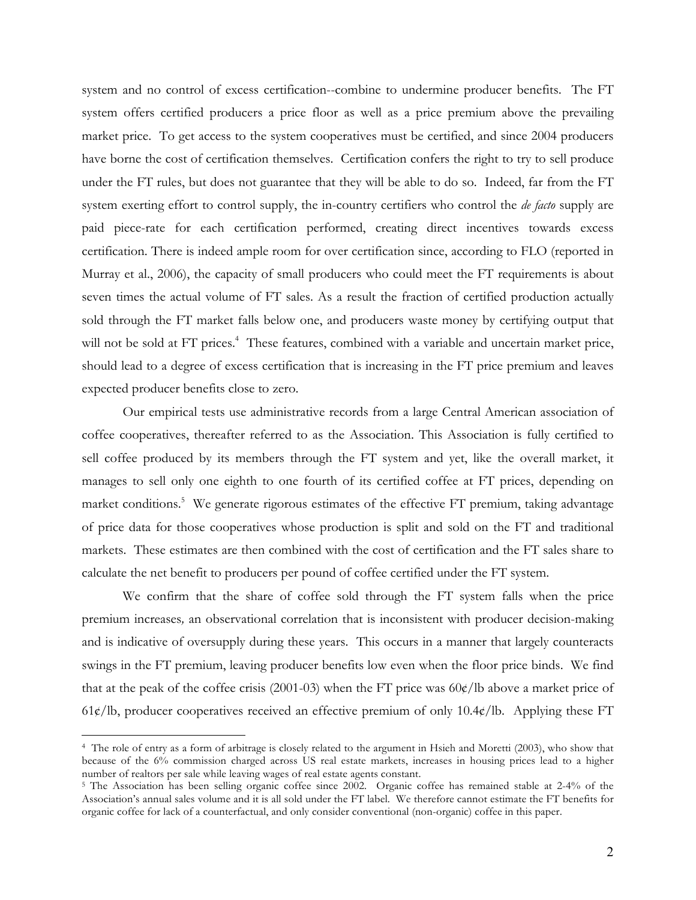system and no control of excess certification--combine to undermine producer benefits. The FT system offers certified producers a price floor as well as a price premium above the prevailing market price. To get access to the system cooperatives must be certified, and since 2004 producers have borne the cost of certification themselves. Certification confers the right to try to sell produce under the FT rules, but does not guarantee that they will be able to do so. Indeed, far from the FT system exerting effort to control supply, the in-country certifiers who control the *de facto* supply are paid piece-rate for each certification performed, creating direct incentives towards excess certification. There is indeed ample room for over certification since, according to FLO (reported in Murray et al., 2006), the capacity of small producers who could meet the FT requirements is about seven times the actual volume of FT sales. As a result the fraction of certified production actually sold through the FT market falls below one, and producers waste money by certifying output that will not be sold at FT prices.<sup>4</sup> These features, combined with a variable and uncertain market price, should lead to a degree of excess certification that is increasing in the FT price premium and leaves expected producer benefits close to zero.

Our empirical tests use administrative records from a large Central American association of coffee cooperatives, thereafter referred to as the Association. This Association is fully certified to sell coffee produced by its members through the FT system and yet, like the overall market, it manages to sell only one eighth to one fourth of its certified coffee at FT prices, depending on market conditions.<sup>5</sup> We generate rigorous estimates of the effective FT premium, taking advantage of price data for those cooperatives whose production is split and sold on the FT and traditional markets. These estimates are then combined with the cost of certification and the FT sales share to calculate the net benefit to producers per pound of coffee certified under the FT system.

We confirm that the share of coffee sold through the FT system falls when the price premium increases*,* an observational correlation that is inconsistent with producer decision-making and is indicative of oversupply during these years. This occurs in a manner that largely counteracts swings in the FT premium, leaving producer benefits low even when the floor price binds. We find that at the peak of the coffee crisis (2001-03) when the FT price was  $60¢$ /lb above a market price of 61¢/lb, producer cooperatives received an effective premium of only  $10.4¢$ /lb. Applying these FT

<sup>4</sup> The role of entry as a form of arbitrage is closely related to the argument in Hsieh and Moretti (2003), who show that because of the 6% commission charged across US real estate markets, increases in housing prices lead to a higher number of realtors per sale while leaving wages of real estate agents constant.

<sup>&</sup>lt;sup>5</sup> The Association has been selling organic coffee since 2002. Organic coffee has remained stable at 2-4% of the Association's annual sales volume and it is all sold under the FT label. We therefore cannot estimate the FT benefits for organic coffee for lack of a counterfactual, and only consider conventional (non-organic) coffee in this paper.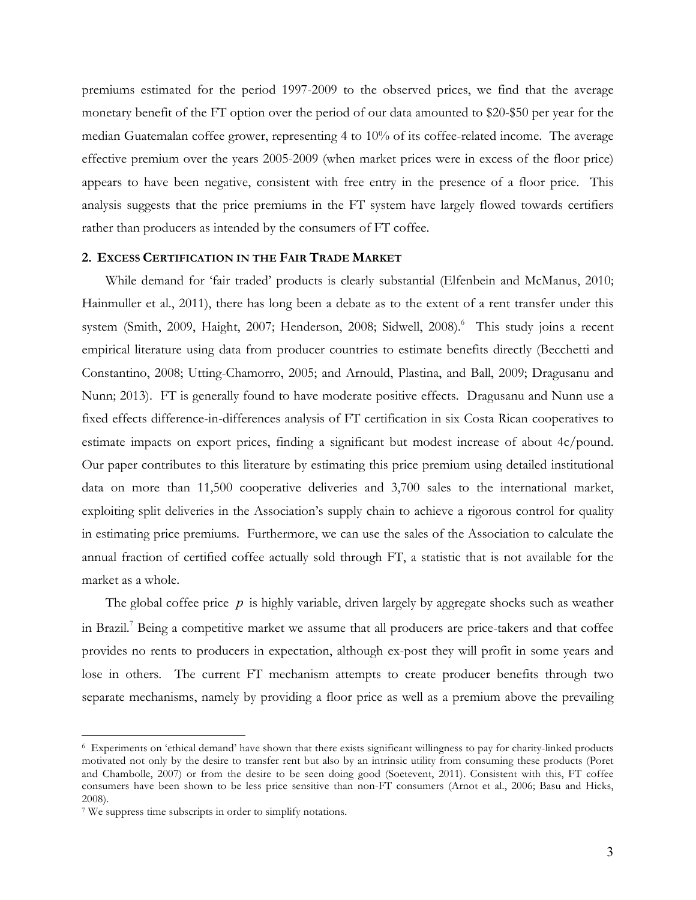premiums estimated for the period 1997-2009 to the observed prices, we find that the average monetary benefit of the FT option over the period of our data amounted to \$20-\$50 per year for the median Guatemalan coffee grower, representing 4 to 10% of its coffee-related income. The average effective premium over the years 2005-2009 (when market prices were in excess of the floor price) appears to have been negative, consistent with free entry in the presence of a floor price. This analysis suggests that the price premiums in the FT system have largely flowed towards certifiers rather than producers as intended by the consumers of FT coffee.

## **2. EXCESS CERTIFICATION IN THE FAIR TRADE MARKET**

While demand for 'fair traded' products is clearly substantial (Elfenbein and McManus, 2010; Hainmuller et al., 2011), there has long been a debate as to the extent of a rent transfer under this system (Smith, 2009, Haight, 2007; Henderson, 2008; Sidwell, 2008). <sup>6</sup> This study joins a recent empirical literature using data from producer countries to estimate benefits directly (Becchetti and Constantino, 2008; Utting-Chamorro, 2005; and Arnould, Plastina, and Ball, 2009; Dragusanu and Nunn; 2013). FT is generally found to have moderate positive effects. Dragusanu and Nunn use a fixed effects difference-in-differences analysis of FT certification in six Costa Rican cooperatives to estimate impacts on export prices, finding a significant but modest increase of about 4c/pound. Our paper contributes to this literature by estimating this price premium using detailed institutional data on more than 11,500 cooperative deliveries and 3,700 sales to the international market, exploiting split deliveries in the Association's supply chain to achieve a rigorous control for quality in estimating price premiums. Furthermore, we can use the sales of the Association to calculate the annual fraction of certified coffee actually sold through FT, a statistic that is not available for the market as a whole.

The global coffee price *p* is highly variable, driven largely by aggregate shocks such as weather in Brazil.<sup>7</sup> Being a competitive market we assume that all producers are price-takers and that coffee provides no rents to producers in expectation, although ex-post they will profit in some years and lose in others. The current FT mechanism attempts to create producer benefits through two separate mechanisms, namely by providing a floor price as well as a premium above the prevailing

<sup>6</sup> Experiments on 'ethical demand' have shown that there exists significant willingness to pay for charity-linked products motivated not only by the desire to transfer rent but also by an intrinsic utility from consuming these products (Poret and Chambolle, 2007) or from the desire to be seen doing good (Soetevent, 2011). Consistent with this, FT coffee consumers have been shown to be less price sensitive than non-FT consumers (Arnot et al., 2006; Basu and Hicks, 2008).

<sup>7</sup> We suppress time subscripts in order to simplify notations.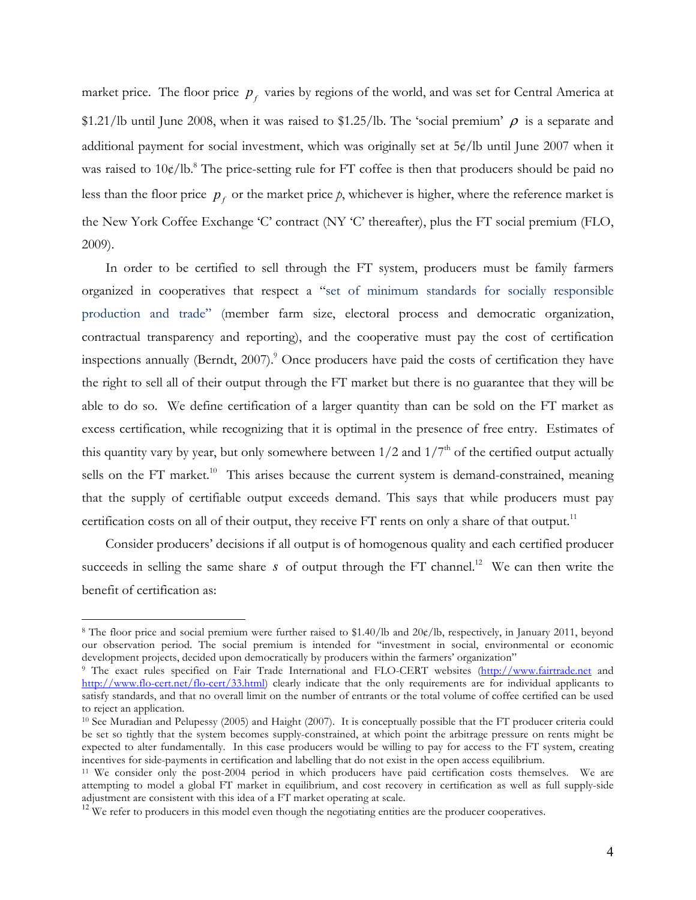market price. The floor price  $p_f$  varies by regions of the world, and was set for Central America at \$1.21/lb until June 2008, when it was raised to \$1.25/lb. The 'social premium'  $\rho$  is a separate and additional payment for social investment, which was originally set at 5¢/lb until June 2007 when it was raised to 10¢/lb.<sup>8</sup> The price-setting rule for FT coffee is then that producers should be paid no less than the floor price  $p<sub>f</sub>$  or the market price  $p$ , whichever is higher, where the reference market is the New York Coffee Exchange 'C' contract (NY 'C' thereafter), plus the FT social premium (FLO, 2009).

In order to be certified to sell through the FT system, producers must be family farmers organized in cooperatives that respect a "set of minimum standards for socially responsible production and trade" (member farm size, electoral process and democratic organization, contractual transparency and reporting), and the cooperative must pay the cost of certification inspections annually (Berndt, 2007). <sup>9</sup> Once producers have paid the costs of certification they have the right to sell all of their output through the FT market but there is no guarantee that they will be able to do so. We define certification of a larger quantity than can be sold on the FT market as excess certification, while recognizing that it is optimal in the presence of free entry. Estimates of this quantity vary by year, but only somewhere between  $1/2$  and  $1/7<sup>th</sup>$  of the certified output actually sells on the FT market.<sup>10</sup> This arises because the current system is demand-constrained, meaning that the supply of certifiable output exceeds demand. This says that while producers must pay certification costs on all of their output, they receive FT rents on only a share of that output.<sup>11</sup>

Consider producers' decisions if all output is of homogenous quality and each certified producer succeeds in selling the same share  $s$  of output through the FT channel.<sup>12</sup> We can then write the benefit of certification as:

<sup>8</sup> The floor price and social premium were further raised to \$1.40/lb and 20¢/lb, respectively, in January 2011, beyond our observation period. The social premium is intended for "investment in social, environmental or economic development projects, decided upon democratically by producers within the farmers' organization"

<sup>9</sup> The exact rules specified on Fair Trade International and FLO-CERT websites (http://www.fairtrade.net and http://www.flo-cert.net/flo-cert/33.html) clearly indicate that the only requirements are for individual applicants to satisfy standards, and that no overall limit on the number of entrants or the total volume of coffee certified can be used to reject an application.

<sup>10</sup> See Muradian and Pelupessy (2005) and Haight (2007). It is conceptually possible that the FT producer criteria could be set so tightly that the system becomes supply-constrained, at which point the arbitrage pressure on rents might be expected to alter fundamentally. In this case producers would be willing to pay for access to the FT system, creating incentives for side-payments in certification and labelling that do not exist in the open access equilibrium.

<sup>11</sup> We consider only the post-2004 period in which producers have paid certification costs themselves. We are attempting to model a global FT market in equilibrium, and cost recovery in certification as well as full supply-side adjustment are consistent with this idea of a FT market operating at scale.

 $^{12}$  We refer to producers in this model even though the negotiating entities are the producer cooperatives.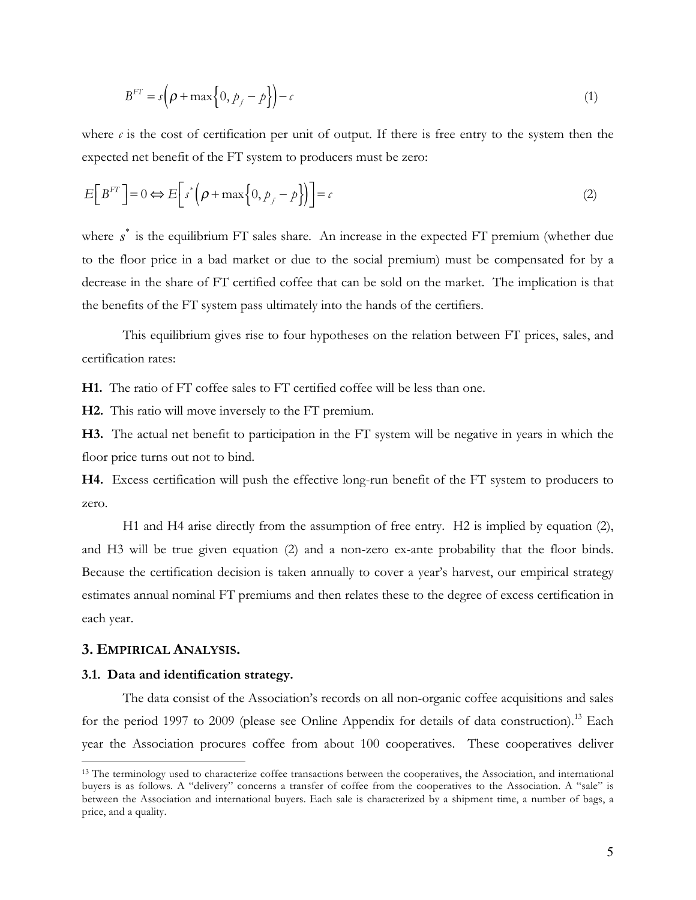$$
B^{FT} = s\left(\rho + \max\left\{0, p_f - p\right\}\right) - c\tag{1}
$$

where  $\epsilon$  is the cost of certification per unit of output. If there is free entry to the system then the expected net benefit of the FT system to producers must be zero:

$$
E[B^{FT}] = 0 \Longleftrightarrow E\bigg[s^* \bigg(\rho + \max\bigg\{0, p_f - p\bigg\}\bigg)\bigg] = c \tag{2}
$$

where s<sup>\*</sup> is the equilibrium FT sales share. An increase in the expected FT premium (whether due to the floor price in a bad market or due to the social premium) must be compensated for by a decrease in the share of FT certified coffee that can be sold on the market. The implication is that the benefits of the FT system pass ultimately into the hands of the certifiers.

This equilibrium gives rise to four hypotheses on the relation between FT prices, sales, and certification rates:

**H1.** The ratio of FT coffee sales to FT certified coffee will be less than one.

**H2.** This ratio will move inversely to the FT premium.

**H3.** The actual net benefit to participation in the FT system will be negative in years in which the floor price turns out not to bind.

**H4.** Excess certification will push the effective long-run benefit of the FT system to producers to zero.

H1 and H4 arise directly from the assumption of free entry. H2 is implied by equation (2), and H3 will be true given equation (2) and a non-zero ex-ante probability that the floor binds. Because the certification decision is taken annually to cover a year's harvest, our empirical strategy estimates annual nominal FT premiums and then relates these to the degree of excess certification in each year.

## **3. EMPIRICAL ANALYSIS.**

 $\overline{a}$ 

#### **3.1. Data and identification strategy.**

The data consist of the Association's records on all non-organic coffee acquisitions and sales for the period 1997 to 2009 (please see Online Appendix for details of data construction).<sup>13</sup> Each year the Association procures coffee from about 100 cooperatives. These cooperatives deliver

<sup>&</sup>lt;sup>13</sup> The terminology used to characterize coffee transactions between the cooperatives, the Association, and international buyers is as follows. A "delivery" concerns a transfer of coffee from the cooperatives to the Association. A "sale" is between the Association and international buyers. Each sale is characterized by a shipment time, a number of bags, a price, and a quality.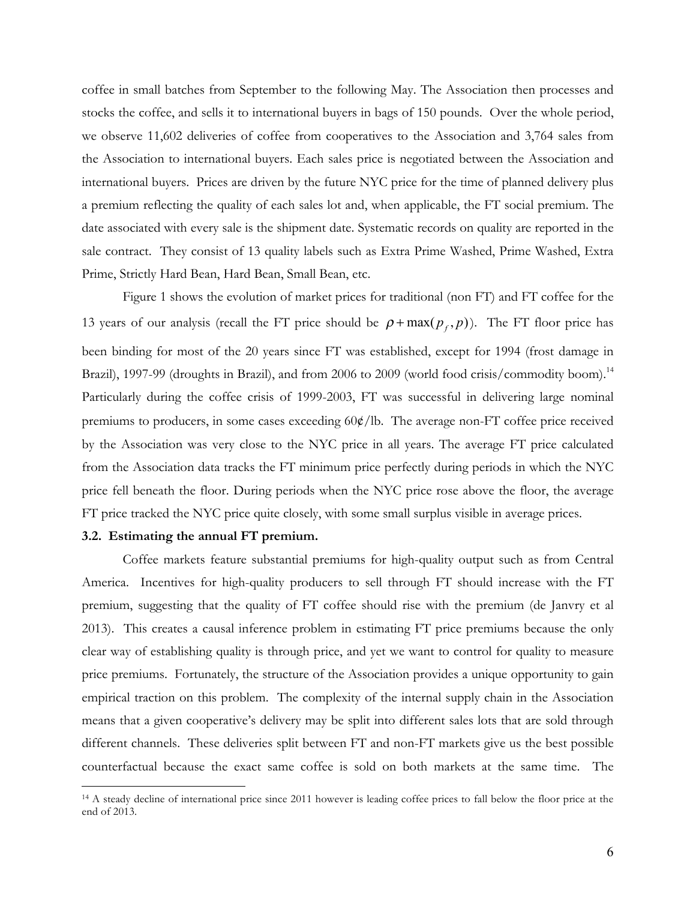coffee in small batches from September to the following May. The Association then processes and stocks the coffee, and sells it to international buyers in bags of 150 pounds. Over the whole period, we observe 11,602 deliveries of coffee from cooperatives to the Association and 3,764 sales from the Association to international buyers. Each sales price is negotiated between the Association and international buyers. Prices are driven by the future NYC price for the time of planned delivery plus a premium reflecting the quality of each sales lot and, when applicable, the FT social premium. The date associated with every sale is the shipment date. Systematic records on quality are reported in the sale contract. They consist of 13 quality labels such as Extra Prime Washed, Prime Washed, Extra Prime, Strictly Hard Bean, Hard Bean, Small Bean, etc.

Figure 1 shows the evolution of market prices for traditional (non FT) and FT coffee for the 13 years of our analysis (recall the FT price should be  $\rho + \max(p_f, p)$ ). The FT floor price has been binding for most of the 20 years since FT was established, except for 1994 (frost damage in Brazil), 1997-99 (droughts in Brazil), and from 2006 to 2009 (world food crisis/commodity boom).<sup>14</sup> Particularly during the coffee crisis of 1999-2003, FT was successful in delivering large nominal premiums to producers, in some cases exceeding 60¢/lb. The average non-FT coffee price received by the Association was very close to the NYC price in all years. The average FT price calculated from the Association data tracks the FT minimum price perfectly during periods in which the NYC price fell beneath the floor. During periods when the NYC price rose above the floor, the average FT price tracked the NYC price quite closely, with some small surplus visible in average prices.

#### **3.2. Estimating the annual FT premium.**

 $\overline{a}$ 

Coffee markets feature substantial premiums for high-quality output such as from Central America. Incentives for high-quality producers to sell through FT should increase with the FT premium, suggesting that the quality of FT coffee should rise with the premium (de Janvry et al 2013). This creates a causal inference problem in estimating FT price premiums because the only clear way of establishing quality is through price, and yet we want to control for quality to measure price premiums. Fortunately, the structure of the Association provides a unique opportunity to gain empirical traction on this problem. The complexity of the internal supply chain in the Association means that a given cooperative's delivery may be split into different sales lots that are sold through different channels. These deliveries split between FT and non-FT markets give us the best possible counterfactual because the exact same coffee is sold on both markets at the same time. The

<sup>&</sup>lt;sup>14</sup> A steady decline of international price since 2011 however is leading coffee prices to fall below the floor price at the end of 2013.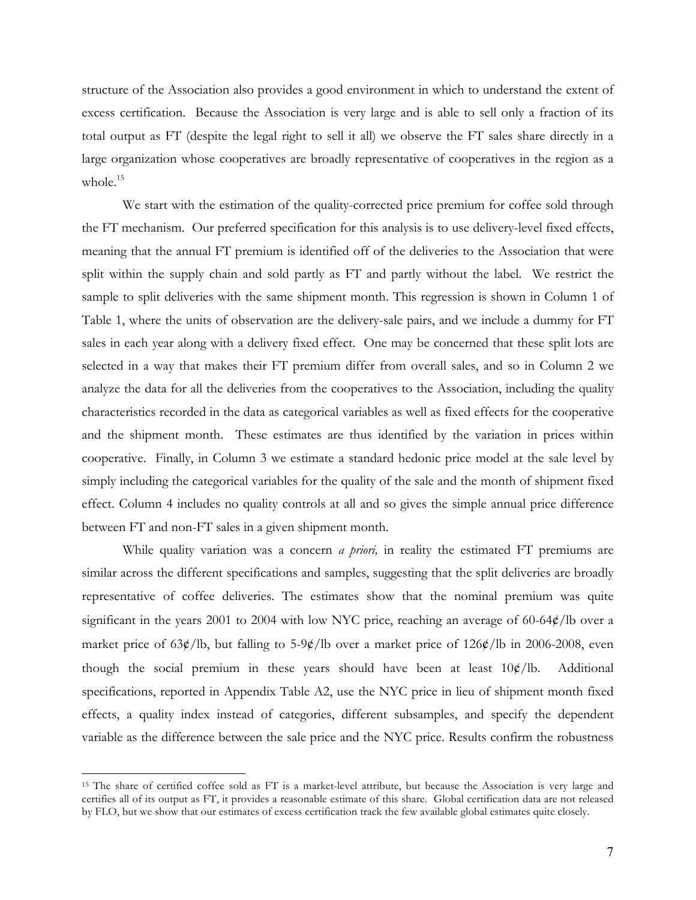structure of the Association also provides a good environment in which to understand the extent of excess certification. Because the Association is very large and is able to sell only a fraction of its total output as FT (despite the legal right to sell it all) we observe the FT sales share directly in a large organization whose cooperatives are broadly representative of cooperatives in the region as a whole.<sup>15</sup>

We start with the estimation of the quality-corrected price premium for coffee sold through the FT mechanism. Our preferred specification for this analysis is to use delivery-level fixed effects, meaning that the annual FT premium is identified off of the deliveries to the Association that were split within the supply chain and sold partly as FT and partly without the label. We restrict the sample to split deliveries with the same shipment month. This regression is shown in Column 1 of Table 1, where the units of observation are the delivery-sale pairs, and we include a dummy for FT sales in each year along with a delivery fixed effect. One may be concerned that these split lots are selected in a way that makes their FT premium differ from overall sales, and so in Column 2 we analyze the data for all the deliveries from the cooperatives to the Association, including the quality characteristics recorded in the data as categorical variables as well as fixed effects for the cooperative and the shipment month. These estimates are thus identified by the variation in prices within cooperative. Finally, in Column 3 we estimate a standard hedonic price model at the sale level by simply including the categorical variables for the quality of the sale and the month of shipment fixed effect. Column 4 includes no quality controls at all and so gives the simple annual price difference between FT and non-FT sales in a given shipment month.

While quality variation was a concern *a priori,* in reality the estimated FT premiums are similar across the different specifications and samples, suggesting that the split deliveries are broadly representative of coffee deliveries. The estimates show that the nominal premium was quite significant in the years 2001 to 2004 with low NYC price, reaching an average of 60-64¢/lb over a market price of  $63¢/lb$ , but falling to  $5-9¢/lb$  over a market price of  $126¢/lb$  in 2006-2008, even though the social premium in these years should have been at least  $10\phi/lb$ . Additional specifications, reported in Appendix Table A2, use the NYC price in lieu of shipment month fixed effects, a quality index instead of categories, different subsamples, and specify the dependent variable as the difference between the sale price and the NYC price. Results confirm the robustness

<sup>&</sup>lt;sup>15</sup> The share of certified coffee sold as FT is a market-level attribute, but because the Association is very large and certifies all of its output as FT, it provides a reasonable estimate of this share. Global certification data are not released by FLO, but we show that our estimates of excess certification track the few available global estimates quite closely.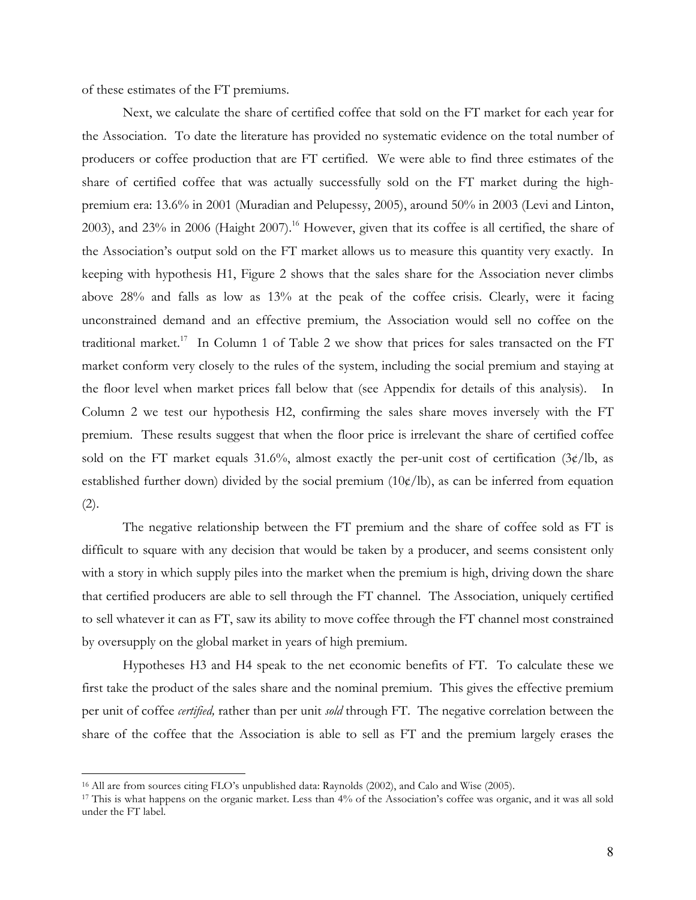of these estimates of the FT premiums.

Next, we calculate the share of certified coffee that sold on the FT market for each year for the Association. To date the literature has provided no systematic evidence on the total number of producers or coffee production that are FT certified. We were able to find three estimates of the share of certified coffee that was actually successfully sold on the FT market during the highpremium era: 13.6% in 2001 (Muradian and Pelupessy, 2005), around 50% in 2003 (Levi and Linton, 2003), and 23% in 2006 (Haight 2007).<sup>16</sup> However, given that its coffee is all certified, the share of the Association's output sold on the FT market allows us to measure this quantity very exactly. In keeping with hypothesis H1, Figure 2 shows that the sales share for the Association never climbs above 28% and falls as low as 13% at the peak of the coffee crisis. Clearly, were it facing unconstrained demand and an effective premium, the Association would sell no coffee on the traditional market.<sup>17</sup> In Column 1 of Table 2 we show that prices for sales transacted on the FT market conform very closely to the rules of the system, including the social premium and staying at the floor level when market prices fall below that (see Appendix for details of this analysis). In Column 2 we test our hypothesis H2, confirming the sales share moves inversely with the FT premium. These results suggest that when the floor price is irrelevant the share of certified coffee sold on the FT market equals 31.6%, almost exactly the per-unit cost of certification  $(3\psi/lb)$ , as established further down) divided by the social premium  $(10¢/lb)$ , as can be inferred from equation (2).

The negative relationship between the FT premium and the share of coffee sold as FT is difficult to square with any decision that would be taken by a producer, and seems consistent only with a story in which supply piles into the market when the premium is high, driving down the share that certified producers are able to sell through the FT channel. The Association, uniquely certified to sell whatever it can as FT, saw its ability to move coffee through the FT channel most constrained by oversupply on the global market in years of high premium.

Hypotheses H3 and H4 speak to the net economic benefits of FT. To calculate these we first take the product of the sales share and the nominal premium. This gives the effective premium per unit of coffee *certified,* rather than per unit *sold* through FT. The negative correlation between the share of the coffee that the Association is able to sell as FT and the premium largely erases the

<sup>16</sup> All are from sources citing FLO's unpublished data: Raynolds (2002), and Calo and Wise (2005).

<sup>17</sup> This is what happens on the organic market. Less than 4% of the Association's coffee was organic, and it was all sold under the FT label.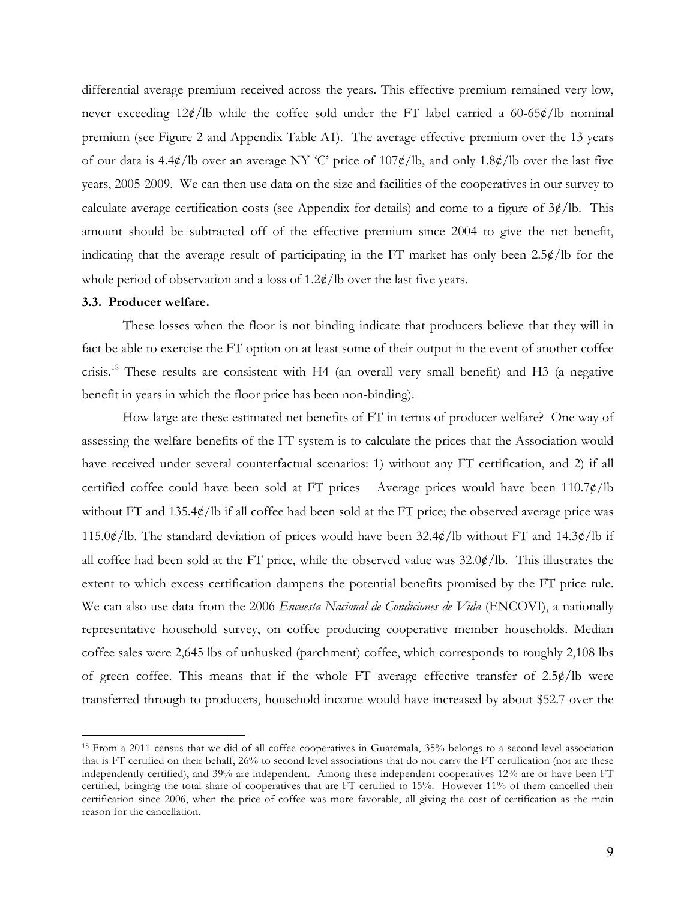differential average premium received across the years. This effective premium remained very low, never exceeding  $12¢$ /lb while the coffee sold under the FT label carried a 60-65 $¢$ /lb nominal premium (see Figure 2 and Appendix Table A1). The average effective premium over the 13 years of our data is 4.4¢/lb over an average NY 'C' price of 107¢/lb, and only 1.8¢/lb over the last five years, 2005-2009. We can then use data on the size and facilities of the cooperatives in our survey to calculate average certification costs (see Appendix for details) and come to a figure of  $3¢/lb$ . This amount should be subtracted off of the effective premium since 2004 to give the net benefit, indicating that the average result of participating in the FT market has only been  $2.5\phi/lb$  for the whole period of observation and a loss of  $1.2 \frac{\cancel{\epsilon}}{10}$  over the last five years.

#### **3.3. Producer welfare.**

 $\overline{a}$ 

These losses when the floor is not binding indicate that producers believe that they will in fact be able to exercise the FT option on at least some of their output in the event of another coffee crisis.18 These results are consistent with H4 (an overall very small benefit) and H3 (a negative benefit in years in which the floor price has been non-binding).

How large are these estimated net benefits of FT in terms of producer welfare? One way of assessing the welfare benefits of the FT system is to calculate the prices that the Association would have received under several counterfactual scenarios: 1) without any FT certification, and 2) if all certified coffee could have been sold at FT prices Average prices would have been 110.7¢/lb without FT and 135.4¢/lb if all coffee had been sold at the FT price; the observed average price was 115.0 $\phi$ /lb. The standard deviation of prices would have been 32.4 $\phi$ /lb without FT and 14.3 $\phi$ /lb if all coffee had been sold at the FT price, while the observed value was  $32.0\frac{\cancel{\ }c}{\cancel{\ }}$ . This illustrates the extent to which excess certification dampens the potential benefits promised by the FT price rule. We can also use data from the 2006 *Encuesta Nacional de Condiciones de Vida* (ENCOVI), a nationally representative household survey, on coffee producing cooperative member households. Median coffee sales were 2,645 lbs of unhusked (parchment) coffee, which corresponds to roughly 2,108 lbs of green coffee. This means that if the whole FT average effective transfer of 2.5¢/lb were transferred through to producers, household income would have increased by about \$52.7 over the

<sup>18</sup> From a 2011 census that we did of all coffee cooperatives in Guatemala, 35% belongs to a second-level association that is FT certified on their behalf, 26% to second level associations that do not carry the FT certification (nor are these independently certified), and 39% are independent. Among these independent cooperatives 12% are or have been FT certified, bringing the total share of cooperatives that are FT certified to 15%. However 11% of them cancelled their certification since 2006, when the price of coffee was more favorable, all giving the cost of certification as the main reason for the cancellation.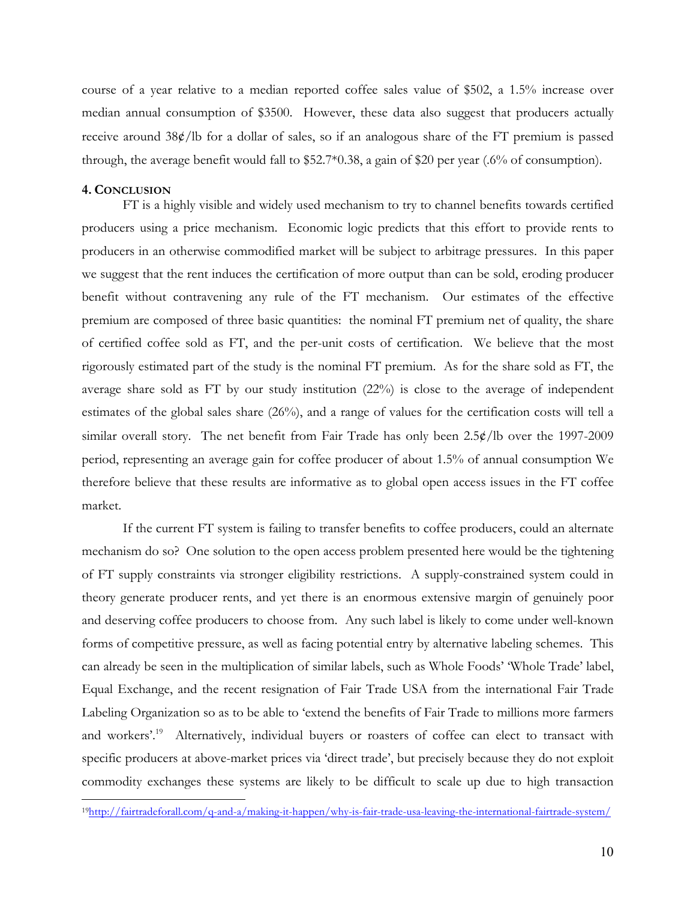course of a year relative to a median reported coffee sales value of \$502, a 1.5% increase over median annual consumption of \$3500. However, these data also suggest that producers actually receive around 38¢/lb for a dollar of sales, so if an analogous share of the FT premium is passed through, the average benefit would fall to \$52.7\*0.38, a gain of \$20 per year (.6% of consumption).

## **4. CONCLUSION**

 $\overline{a}$ 

FT is a highly visible and widely used mechanism to try to channel benefits towards certified producers using a price mechanism. Economic logic predicts that this effort to provide rents to producers in an otherwise commodified market will be subject to arbitrage pressures. In this paper we suggest that the rent induces the certification of more output than can be sold, eroding producer benefit without contravening any rule of the FT mechanism. Our estimates of the effective premium are composed of three basic quantities: the nominal FT premium net of quality, the share of certified coffee sold as FT, and the per-unit costs of certification. We believe that the most rigorously estimated part of the study is the nominal FT premium. As for the share sold as FT, the average share sold as FT by our study institution (22%) is close to the average of independent estimates of the global sales share (26%), and a range of values for the certification costs will tell a similar overall story. The net benefit from Fair Trade has only been 2.5¢/lb over the 1997-2009 period, representing an average gain for coffee producer of about 1.5% of annual consumption We therefore believe that these results are informative as to global open access issues in the FT coffee market.

If the current FT system is failing to transfer benefits to coffee producers, could an alternate mechanism do so? One solution to the open access problem presented here would be the tightening of FT supply constraints via stronger eligibility restrictions. A supply-constrained system could in theory generate producer rents, and yet there is an enormous extensive margin of genuinely poor and deserving coffee producers to choose from. Any such label is likely to come under well-known forms of competitive pressure, as well as facing potential entry by alternative labeling schemes. This can already be seen in the multiplication of similar labels, such as Whole Foods' 'Whole Trade' label, Equal Exchange, and the recent resignation of Fair Trade USA from the international Fair Trade Labeling Organization so as to be able to 'extend the benefits of Fair Trade to millions more farmers and workers'.<sup>19</sup> Alternatively, individual buyers or roasters of coffee can elect to transact with specific producers at above-market prices via 'direct trade', but precisely because they do not exploit commodity exchanges these systems are likely to be difficult to scale up due to high transaction

<sup>19</sup>http://fairtradeforall.com/q-and-a/making-it-happen/why-is-fair-trade-usa-leaving-the-international-fairtrade-system/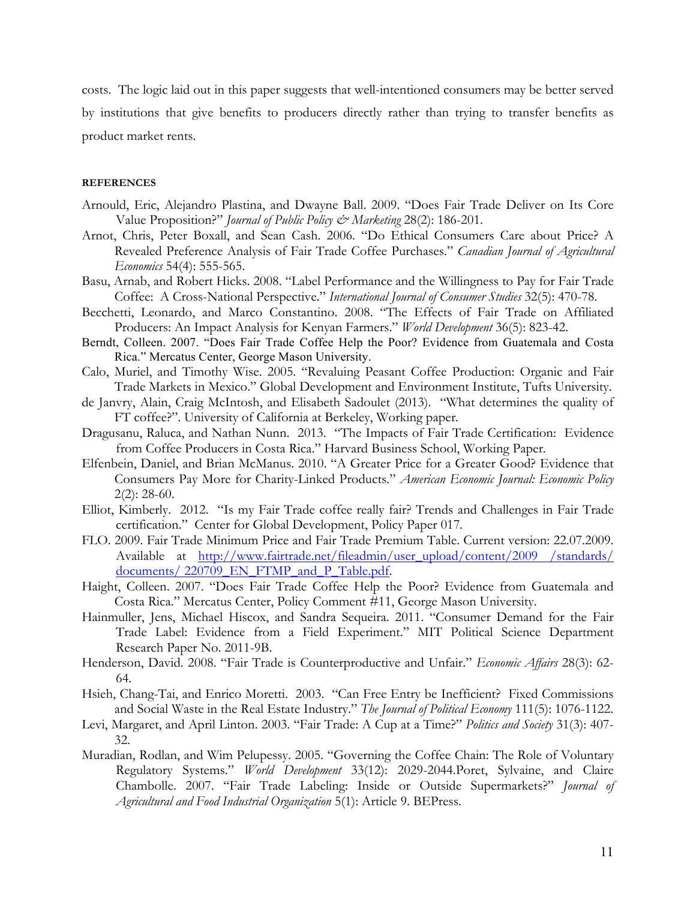costs. The logic laid out in this paper suggests that well-intentioned consumers may be better served by institutions that give benefits to producers directly rather than trying to transfer benefits as product market rents.

#### **REFERENCES**

- Arnould, Eric, Alejandro Plastina, and Dwayne Ball. 2009. "Does Fair Trade Deliver on Its Core Value Proposition?" *Journal of Public Policy & Marketing* 28(2): 186-201.
- Arnot, Chris, Peter Boxall, and Sean Cash. 2006. "Do Ethical Consumers Care about Price? A Revealed Preference Analysis of Fair Trade Coffee Purchases." *Canadian Journal of Agricultural Economics* 54(4): 555-565.
- Basu, Arnab, and Robert Hicks. 2008. "Label Performance and the Willingness to Pay for Fair Trade Coffee: A Cross-National Perspective." *International Journal of Consumer Studies* 32(5): 470-78.
- Becchetti, Leonardo, and Marco Constantino. 2008. "The Effects of Fair Trade on Affiliated Producers: An Impact Analysis for Kenyan Farmers." *World Development* 36(5): 823-42.
- Berndt, Colleen. 2007. "Does Fair Trade Coffee Help the Poor? Evidence from Guatemala and Costa Rica." Mercatus Center, George Mason University.
- Calo, Muriel, and Timothy Wise. 2005. "Revaluing Peasant Coffee Production: Organic and Fair Trade Markets in Mexico." Global Development and Environment Institute, Tufts University.
- de Janvry, Alain, Craig McIntosh, and Elisabeth Sadoulet (2013). "What determines the quality of FT coffee?". University of California at Berkeley, Working paper*.*
- Dragusanu, Raluca, and Nathan Nunn. 2013. "The Impacts of Fair Trade Certification: Evidence from Coffee Producers in Costa Rica." Harvard Business School, Working Paper*.*
- Elfenbein, Daniel, and Brian McManus. 2010. "A Greater Price for a Greater Good? Evidence that Consumers Pay More for Charity-Linked Products." *American Economic Journal: Economic Policy*   $2(2): 28-60.$
- Elliot, Kimberly. 2012. "Is my Fair Trade coffee really fair? Trends and Challenges in Fair Trade certification." Center for Global Development, Policy Paper 017*.*
- FLO. 2009. Fair Trade Minimum Price and Fair Trade Premium Table. Current version: 22.07.2009. Available at http://www.fairtrade.net/fileadmin/user\_upload/content/2009 /standards/ documents/ 220709\_EN\_FTMP\_and\_P\_Table.pdf.
- Haight, Colleen. 2007. "Does Fair Trade Coffee Help the Poor? Evidence from Guatemala and Costa Rica." Mercatus Center, Policy Comment #11, George Mason University.
- Hainmuller, Jens, Michael Hiscox, and Sandra Sequeira. 2011. "Consumer Demand for the Fair Trade Label: Evidence from a Field Experiment." MIT Political Science Department Research Paper No. 2011-9B.
- Henderson, David. 2008. "Fair Trade is Counterproductive and Unfair." *Economic Affairs* 28(3): 62- 64.
- Hsieh, Chang-Tai, and Enrico Moretti. 2003. "Can Free Entry be Inefficient? Fixed Commissions and Social Waste in the Real Estate Industry." *The Journal of Political Economy* 111(5): 1076-1122.
- Levi, Margaret, and April Linton. 2003. "Fair Trade: A Cup at a Time?" *Politics and Society* 31(3): 407- 32.
- Muradian, Rodlan, and Wim Pelupessy. 2005. "Governing the Coffee Chain: The Role of Voluntary Regulatory Systems." *World Development* 33(12): 2029-2044.Poret, Sylvaine, and Claire Chambolle. 2007. "Fair Trade Labeling: Inside or Outside Supermarkets?" *Journal of Agricultural and Food Industrial Organization* 5(1): Article 9. BEPress.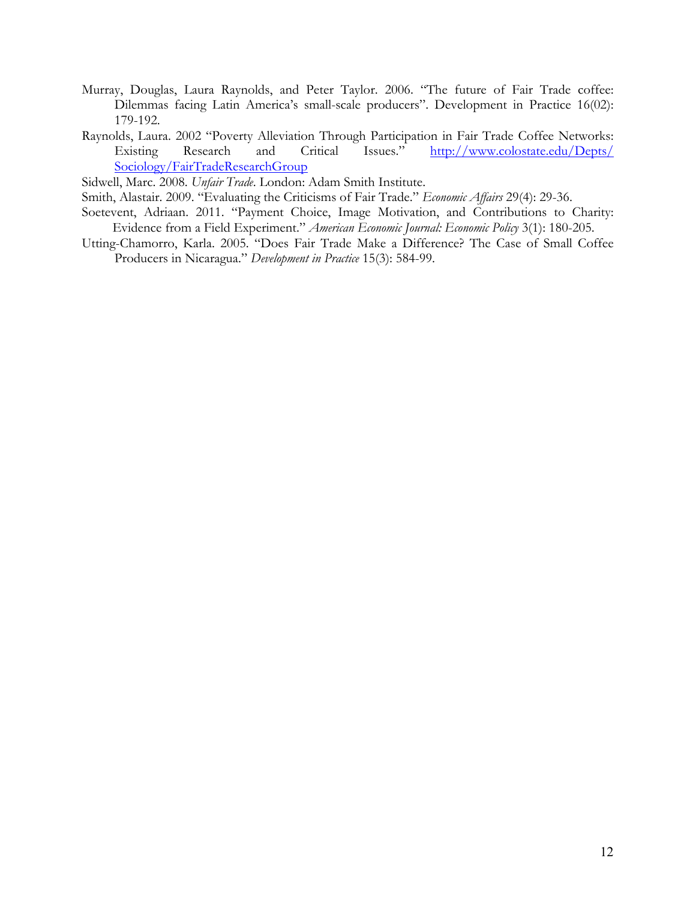- Murray, Douglas, Laura Raynolds, and Peter Taylor. 2006. "The future of Fair Trade coffee: Dilemmas facing Latin America's small-scale producers". Development in Practice 16(02): 179-192.
- Raynolds, Laura. 2002 "Poverty Alleviation Through Participation in Fair Trade Coffee Networks: Existing Research and Critical Issues." http://www.colostate.edu/Depts/ Sociology/FairTradeResearchGroup

Sidwell, Marc. 2008. *Unfair Trade*. London: Adam Smith Institute.

Smith, Alastair. 2009. "Evaluating the Criticisms of Fair Trade." *Economic Affairs* 29(4): 29-36.

- Soetevent, Adriaan. 2011. "Payment Choice, Image Motivation, and Contributions to Charity: Evidence from a Field Experiment." *American Economic Journal: Economic Policy* 3(1): 180-205.
- Utting-Chamorro, Karla. 2005. "Does Fair Trade Make a Difference? The Case of Small Coffee Producers in Nicaragua." *Development in Practice* 15(3): 584-99.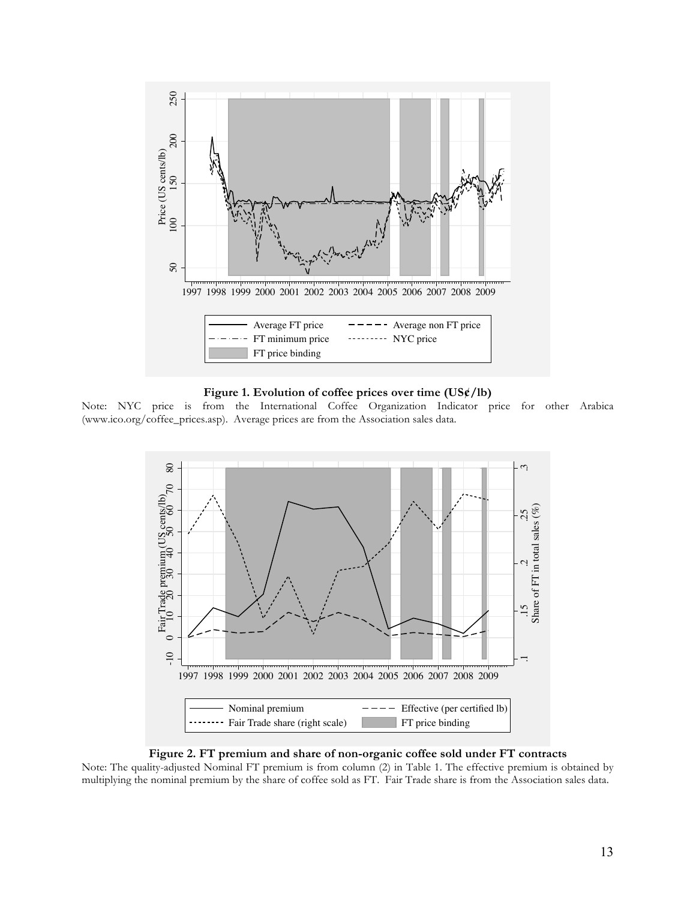

#### **Figure 1. Evolution of coffee prices over time (US¢/lb)**

Note: NYC price is from the International Coffee Organization Indicator price for other Arabica (www.ico.org/coffee\_prices.asp). Average prices are from the Association sales data.



#### **Figure 2. FT premium and share of non-organic coffee sold under FT contracts**

Note: The quality-adjusted Nominal FT premium is from column (2) in Table 1. The effective premium is obtained by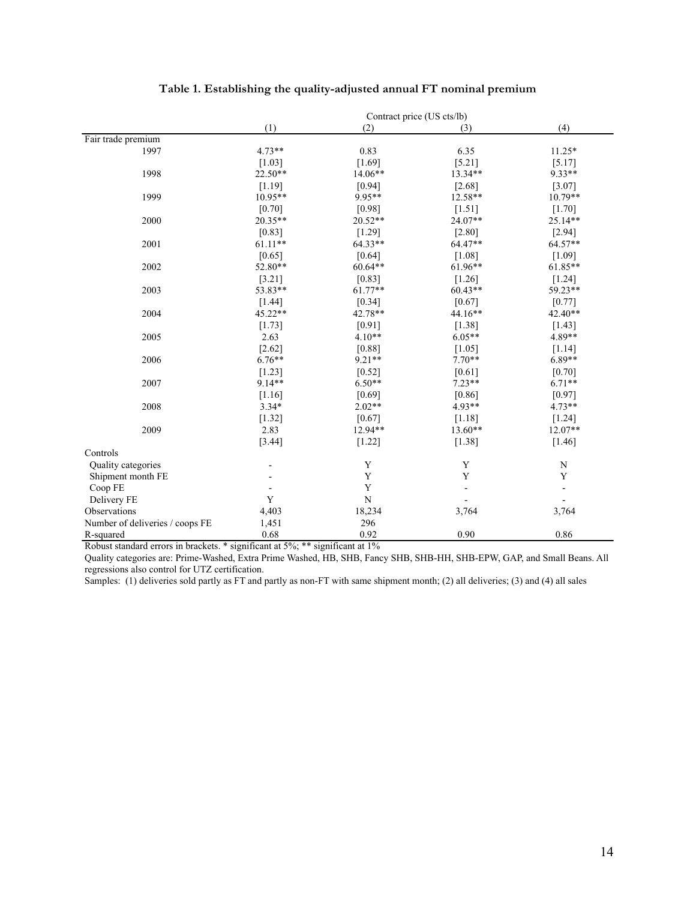|                                 |           |             | Contract price (US cts/lb) |             |
|---------------------------------|-----------|-------------|----------------------------|-------------|
|                                 | (1)       | (2)         | (3)                        | (4)         |
| Fair trade premium              |           |             |                            |             |
| 1997                            | $4.73**$  | 0.83        | 6.35                       | $11.25*$    |
|                                 | $[1.03]$  | $[1.69]$    | $[5.21]$                   | [5.17]      |
| 1998                            | $22.50**$ | 14.06**     | 13.34**                    | 9.33**      |
|                                 | [1.19]    | [0.94]      | [2.68]                     | [3.07]      |
| 1999                            | 10.95**   | 9.95**      | 12.58**                    | 10.79**     |
|                                 | $[0.70]$  | [0.98]      | $[1.51]$                   | $[1.70]$    |
| 2000                            | $20.35**$ | $20.52**$   | $24.07**$                  | 25.14**     |
|                                 | [0.83]    | $[1.29]$    | [2.80]                     | [2.94]      |
| 2001                            | $61.11**$ | 64.33**     | 64.47**                    | 64.57**     |
|                                 | [0.65]    | [0.64]      | $[1.08]$                   | [1.09]      |
| 2002                            | 52.80**   | 60.64**     | $61.96**$                  | 61.85**     |
|                                 | [3.21]    | [0.83]      | $[1.26]$                   | $[1.24]$    |
| 2003                            | 53.83**   | $61.77**$   | $60.43**$                  | 59.23**     |
|                                 | [1.44]    | $[0.34]$    | [0.67]                     | [0.77]      |
| 2004                            | 45.22**   | 42.78**     | $44.16**$                  | 42.40**     |
|                                 | [1.73]    | [0.91]      | [1.38]                     | $[1.43]$    |
| 2005                            | 2.63      | $4.10**$    | $6.05**$                   | 4.89**      |
|                                 | [2.62]    | [0.88]      | [1.05]                     | [1.14]      |
| 2006                            | $6.76**$  | $9.21**$    | $7.70**$                   | $6.89**$    |
|                                 | $[1.23]$  | [0.52]      | $[0.61]$                   | $[0.70]$    |
| 2007                            | 9.14**    | $6.50**$    | $7.23**$                   | $6.71**$    |
|                                 | [1.16]    | [0.69]      | [0.86]                     | [0.97]      |
| 2008                            | $3.34*$   | $2.02**$    | 4.93**                     | $4.73**$    |
|                                 | $[1.32]$  | [0.67]      | [1.18]                     | $[1.24]$    |
| 2009                            | 2.83      | 12.94**     | 13.60**                    | 12.07**     |
|                                 | [3.44]    | $[1.22]$    | [1.38]                     | $[1.46]$    |
| Controls                        |           |             |                            |             |
| Quality categories              |           | Y           | Y                          | $\mathbf N$ |
| Shipment month FE               |           | $\mathbf Y$ | Y                          | Y           |
| Coop FE                         |           | Y           |                            |             |
| Delivery FE                     | Y         | ${\bf N}$   |                            |             |
| Observations                    | 4,403     | 18,234      | 3,764                      | 3,764       |
| Number of deliveries / coops FE | 1,451     | 296         |                            |             |
| R-squared                       | 0.68      | 0.92        | 0.90                       | 0.86        |

## **Table 1. Establishing the quality-adjusted annual FT nominal premium**

Robust standard errors in brackets. \* significant at 5%; \*\* significant at 1%

Quality categories are: Prime-Washed, Extra Prime Washed, HB, SHB, Fancy SHB, SHB-HH, SHB-EPW, GAP, and Small Beans. All regressions also control for UTZ certification.

Samples: (1) deliveries sold partly as FT and partly as non-FT with same shipment month; (2) all deliveries; (3) and (4) all sales